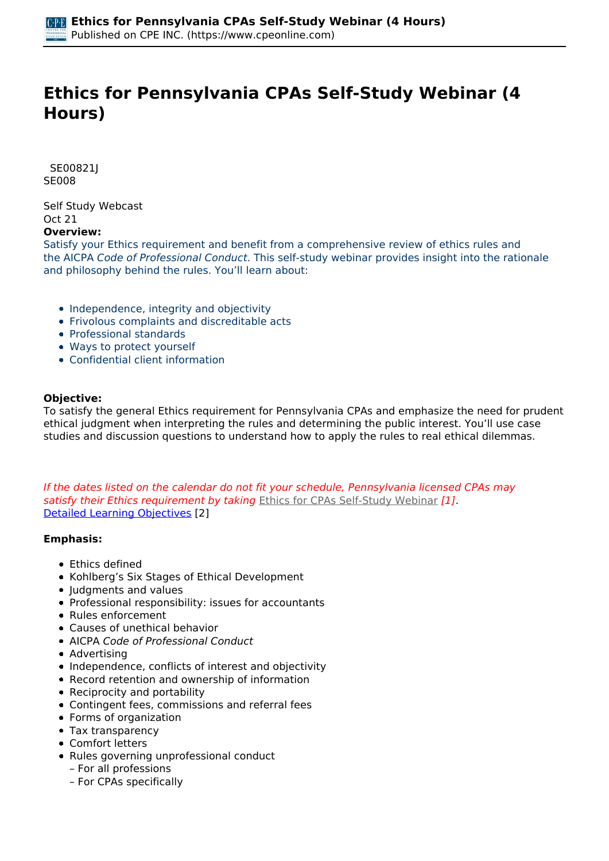# **Ethics for Pennsylvania CPAs Self-Study Webinar (4 Hours)**

 *SE00821J SE008* 

*Self Study Webcast Oct 21*  **Overview:** 

## *Satisfy your Ethics requirement and benefit from a comprehensive review of ethics rules and the AICPA Code of Professional Conduct. This self-study webinar provides insight into the rationale and philosophy behind the rules. You'll learn about:*

- *Independence, integrity and objectivity*
- *Frivolous complaints and discreditable acts*
- *Professional standards*
- *Ways to protect yourself*
- *Confidential client information*

## **Objective:**

*To satisfy the general Ethics requirement for Pennsylvania CPAs and emphasize the need for prudent ethical judgment when interpreting the rules and determining the public interest. You'll use case studies and discussion questions to understand how to apply the rules to real ethical dilemmas.*

*If the dates listed on the calendar do not fit your schedule, Pennsylvania licensed CPAs may satisfy their Ethics requirement by taking [Ethics for CPAs Self-Study Webinar](https://www.cpeonline.com/node/112855) [1]. [Detailed Learning Objectives](https://www.cpeonline.com/JavaScript:showObjectivesPopup();) [2]*

## **Emphasis:**

- *Ethics defined*
- *Kohlberg's Six Stages of Ethical Development*
- *Judgments and values*
- *Professional responsibility: issues for accountants*
- *Rules enforcement*
- *Causes of unethical behavior*
- *AICPA Code of Professional Conduct*
- *Advertising*
- *Independence, conflicts of interest and objectivity*
- *Record retention and ownership of information*
- *Reciprocity and portability*
- *Contingent fees, commissions and referral fees*
- *Forms of organization*
- *Tax transparency*
- *Comfort letters*
- *Rules governing unprofessional conduct*
	- *For all professions*
	- *For CPAs specifically*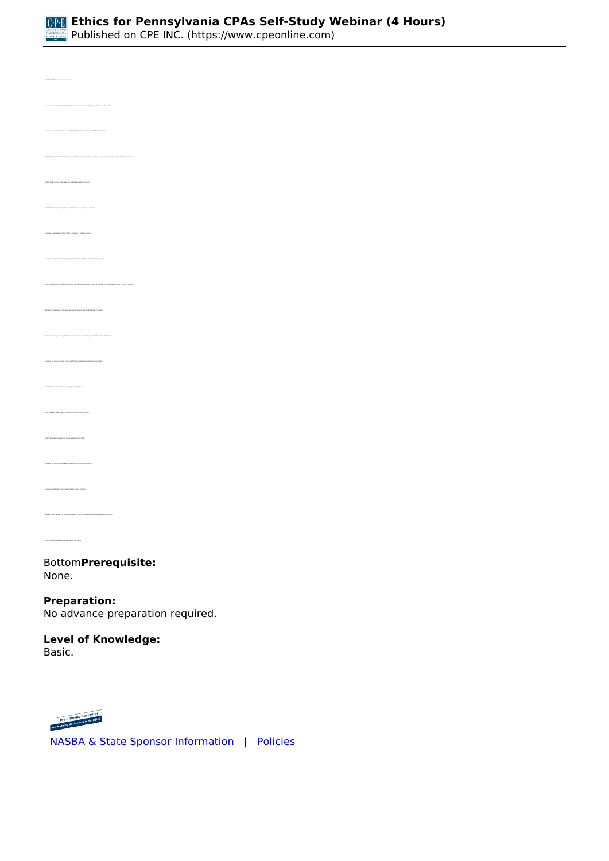

*• Recognize the motivations for ethical behavior as identified in Kohlberg's stages of moral development • Recognize the relative pressure put upon the CPA preparer during the current COVID-19 pandemic • Identify the professional mandates that prevent CPAs from claiming ignorance of the rules and standards applicable to their ethical behavior • Identify the licensing board's primary consideration when disciplining a licensee • Recognize the practitioner's responsibilities to the IRS in regards to client information requests • Identify the time frame in which a practitioner must obtain the informed consent of clients in which the practitioner has a conflict of interest • Determine the single most important consideration when determining the most ethical choice of action(s) • Recognize the primary concern with the performance of attest services for non-attest clients • Identify threats to the practitioner's integrity and objectivity • Identify the work paper retention requirements of the Code of Conduct • Identify the entity responsible for the promulgation of US GAAP • Recognize the primary concerns with contingent fees within the profession • Recognize confidentiality restrictions in the accounting profession • Identify permissible and non- permissible CPA firm names* 

*Bottom***Prerequisite:**  *None.*

## **Preparation:**

*No advance preparation required.*

## **Level of Knowledge:**

*Basic.*



 *[NASBA & State Sponsor Information](https://www.cpeonline.com/sponsor-information)  |  [Policies](https://www.cpeonline.com/policies)*